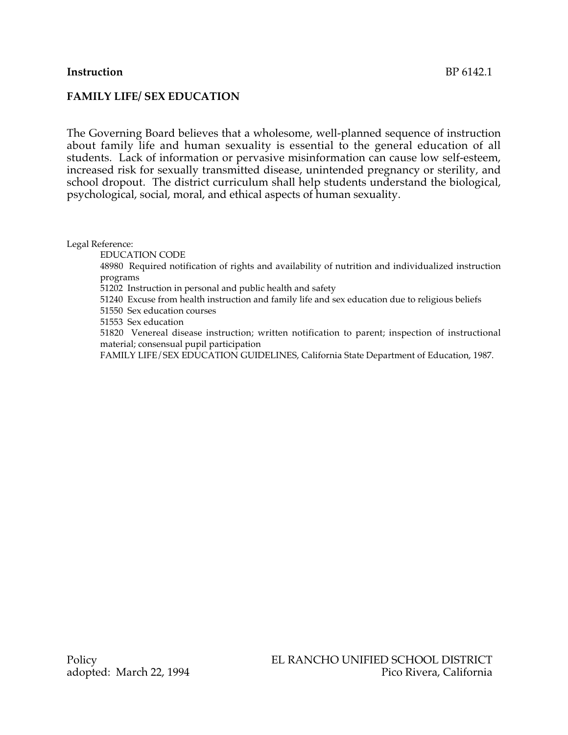## **Instruction** BP 6142.1

### **FAMILY LIFE/ SEX EDUCATION**

The Governing Board believes that a wholesome, well-planned sequence of instruction about family life and human sexuality is essential to the general education of all students. Lack of information or pervasive misinformation can cause low self-esteem, increased risk for sexually transmitted disease, unintended pregnancy or sterility, and school dropout. The district curriculum shall help students understand the biological, psychological, social, moral, and ethical aspects of human sexuality.

Legal Reference:

EDUCATION CODE

48980 Required notification of rights and availability of nutrition and individualized instruction programs

51202 Instruction in personal and public health and safety

51240 Excuse from health instruction and family life and sex education due to religious beliefs

51550 Sex education courses

51553 Sex education

51820 Venereal disease instruction; written notification to parent; inspection of instructional material; consensual pupil participation

FAMILY LIFE/SEX EDUCATION GUIDELINES, California State Department of Education, 1987.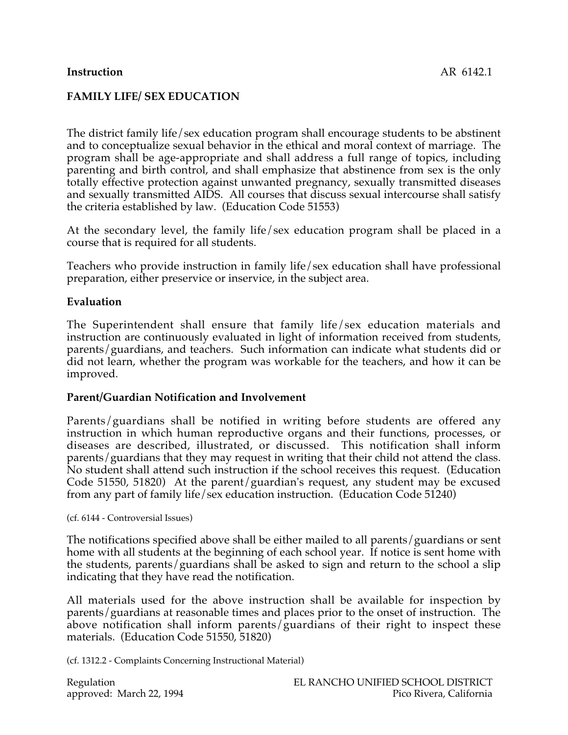# **Instruction** AR 6142.1

## **FAMILY LIFE/ SEX EDUCATION**

The district family life/sex education program shall encourage students to be abstinent and to conceptualize sexual behavior in the ethical and moral context of marriage. The program shall be age-appropriate and shall address a full range of topics, including parenting and birth control, and shall emphasize that abstinence from sex is the only totally effective protection against unwanted pregnancy, sexually transmitted diseases and sexually transmitted AIDS. All courses that discuss sexual intercourse shall satisfy the criteria established by law. (Education Code 51553)

At the secondary level, the family life/sex education program shall be placed in a course that is required for all students.

Teachers who provide instruction in family life/sex education shall have professional preparation, either preservice or inservice, in the subject area.

### **Evaluation**

The Superintendent shall ensure that family life/sex education materials and instruction are continuously evaluated in light of information received from students, parents/guardians, and teachers. Such information can indicate what students did or did not learn, whether the program was workable for the teachers, and how it can be improved.

### **Parent/Guardian Notification and Involvement**

Parents/guardians shall be notified in writing before students are offered any instruction in which human reproductive organs and their functions, processes, or diseases are described, illustrated, or discussed. This notification shall inform parents/guardians that they may request in writing that their child not attend the class. No student shall attend such instruction if the school receives this request. (Education Code 51550, 51820) At the parent/guardian's request, any student may be excused from any part of family life/sex education instruction. (Education Code 51240)

(cf. 6144 - Controversial Issues)

The notifications specified above shall be either mailed to all parents/guardians or sent home with all students at the beginning of each school year. If notice is sent home with the students, parents/guardians shall be asked to sign and return to the school a slip indicating that they have read the notification.

All materials used for the above instruction shall be available for inspection by parents/guardians at reasonable times and places prior to the onset of instruction. The above notification shall inform parents/guardians of their right to inspect these materials. (Education Code 51550, 51820)

(cf. 1312.2 - Complaints Concerning Instructional Material)